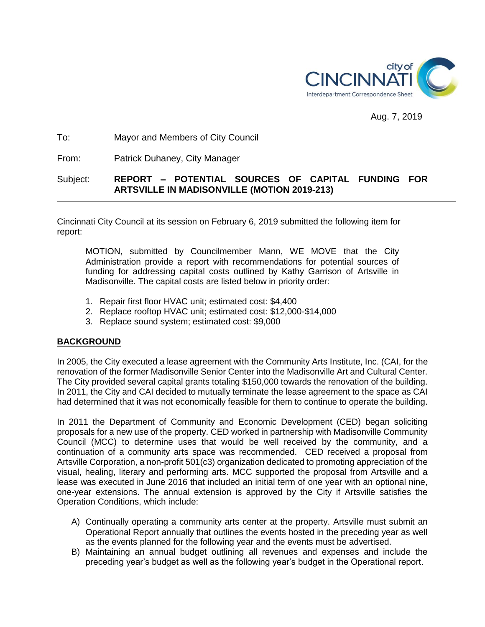

Aug. 7, 2019

### To: Mayor and Members of City Council

From: Patrick Duhaney, City Manager

# Subject: **REPORT – POTENTIAL SOURCES OF CAPITAL FUNDING FOR ARTSVILLE IN MADISONVILLE (MOTION 2019-213)**

Cincinnati City Council at its session on February 6, 2019 submitted the following item for report:

MOTION, submitted by Councilmember Mann, WE MOVE that the City Administration provide a report with recommendations for potential sources of funding for addressing capital costs outlined by Kathy Garrison of Artsville in Madisonville. The capital costs are listed below in priority order:

- 1. Repair first floor HVAC unit; estimated cost: \$4,400
- 2. Replace rooftop HVAC unit; estimated cost: \$12,000-\$14,000
- 3. Replace sound system; estimated cost: \$9,000

#### **BACKGROUND**

In 2005, the City executed a lease agreement with the Community Arts Institute, Inc. (CAI, for the renovation of the former Madisonville Senior Center into the Madisonville Art and Cultural Center. The City provided several capital grants totaling \$150,000 towards the renovation of the building. In 2011, the City and CAI decided to mutually terminate the lease agreement to the space as CAI had determined that it was not economically feasible for them to continue to operate the building.

In 2011 the Department of Community and Economic Development (CED) began soliciting proposals for a new use of the property. CED worked in partnership with Madisonville Community Council (MCC) to determine uses that would be well received by the community, and a continuation of a community arts space was recommended. CED received a proposal from Artsville Corporation, a non-profit 501(c3) organization dedicated to promoting appreciation of the visual, healing, literary and performing arts. MCC supported the proposal from Artsville and a lease was executed in June 2016 that included an initial term of one year with an optional nine, one-year extensions. The annual extension is approved by the City if Artsville satisfies the Operation Conditions, which include:

- A) Continually operating a community arts center at the property. Artsville must submit an Operational Report annually that outlines the events hosted in the preceding year as well as the events planned for the following year and the events must be advertised.
- B) Maintaining an annual budget outlining all revenues and expenses and include the preceding year's budget as well as the following year's budget in the Operational report.